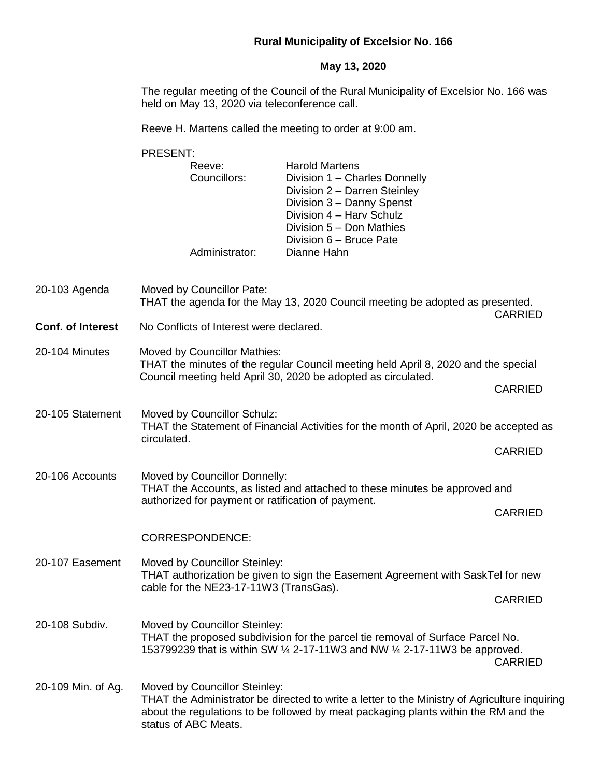## **Rural Municipality of Excelsior No. 166**

#### **May 13, 2020**

The regular meeting of the Council of the Rural Municipality of Excelsior No. 166 was held on May 13, 2020 via teleconference call.

Reeve H. Martens called the meeting to order at 9:00 am.

|                    | PRESENT:                                                                                                                                                                            |                                                                                                                                                                                                                       |                |                |                               |
|--------------------|-------------------------------------------------------------------------------------------------------------------------------------------------------------------------------------|-----------------------------------------------------------------------------------------------------------------------------------------------------------------------------------------------------------------------|----------------|----------------|-------------------------------|
|                    | Reeve:<br>Councillors:<br>Administrator:                                                                                                                                            | <b>Harold Martens</b><br>Division 1 - Charles Donnelly<br>Division 2 - Darren Steinley<br>Division 3 - Danny Spenst<br>Division 4 - Harv Schulz<br>Division 5 - Don Mathies<br>Division 6 - Bruce Pate<br>Dianne Hahn |                |                |                               |
| 20-103 Agenda      | Moved by Councillor Pate:                                                                                                                                                           | THAT the agenda for the May 13, 2020 Council meeting be adopted as presented.                                                                                                                                         | <b>CARRIED</b> |                |                               |
| Conf. of Interest  |                                                                                                                                                                                     | No Conflicts of Interest were declared.                                                                                                                                                                               |                |                |                               |
| 20-104 Minutes     | Moved by Councillor Mathies:<br>THAT the minutes of the regular Council meeting held April 8, 2020 and the special<br>Council meeting held April 30, 2020 be adopted as circulated. |                                                                                                                                                                                                                       |                |                |                               |
|                    |                                                                                                                                                                                     | <b>CARRIED</b>                                                                                                                                                                                                        |                |                |                               |
| 20-105 Statement   | Moved by Councillor Schulz:<br>THAT the Statement of Financial Activities for the month of April, 2020 be accepted as<br>circulated.                                                |                                                                                                                                                                                                                       |                |                |                               |
|                    |                                                                                                                                                                                     |                                                                                                                                                                                                                       | <b>CARRIED</b> |                |                               |
| 20-106 Accounts    | Moved by Councillor Donnelly:<br>THAT the Accounts, as listed and attached to these minutes be approved and                                                                         |                                                                                                                                                                                                                       |                |                |                               |
|                    | authorized for payment or ratification of payment.                                                                                                                                  |                                                                                                                                                                                                                       | <b>CARRIED</b> |                |                               |
|                    | <b>CORRESPONDENCE:</b>                                                                                                                                                              |                                                                                                                                                                                                                       |                |                |                               |
| 20-107 Easement    | Moved by Councillor Steinley:<br>THAT authorization be given to sign the Easement Agreement with SaskTel for new<br>cable for the NE23-17-11W3 (TransGas).<br><b>CARRIED</b>        |                                                                                                                                                                                                                       |                |                |                               |
|                    |                                                                                                                                                                                     |                                                                                                                                                                                                                       |                | 20-108 Subdiv. | Moved by Councillor Steinley: |
| 20-109 Min. of Ag. | Moved by Councillor Steinley:                                                                                                                                                       | THAT the Administrator be directed to write a letter to the Ministry of Agriculture inquiring<br>about the regulations to be followed by meat packaging plants within the RM and the                                  |                |                |                               |

status of ABC Meats.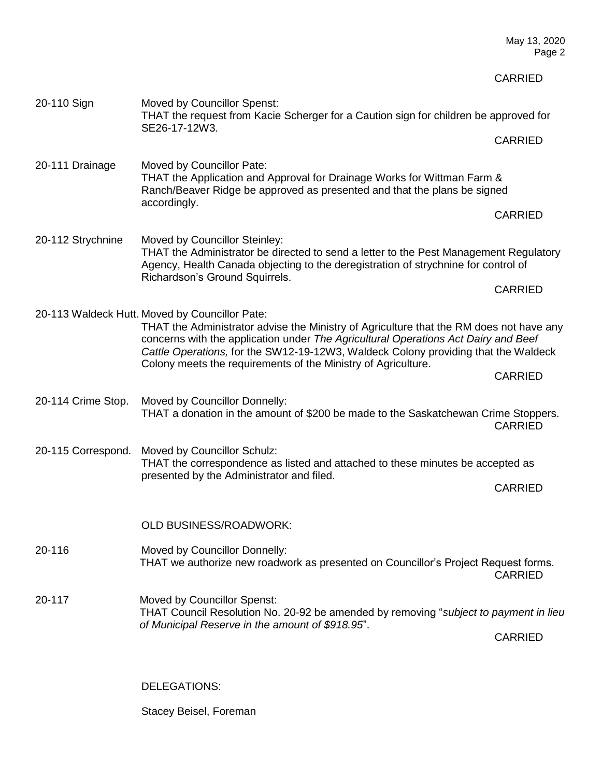CARRIED 20-110 Sign Moved by Councillor Spenst: THAT the request from Kacie Scherger for a Caution sign for children be approved for SE26-17-12W3. CARRIED 20-111 Drainage Moved by Councillor Pate: THAT the Application and Approval for Drainage Works for Wittman Farm & Ranch/Beaver Ridge be approved as presented and that the plans be signed accordingly. CARRIED 20-112 Strychnine Moved by Councillor Steinley: THAT the Administrator be directed to send a letter to the Pest Management Regulatory Agency, Health Canada objecting to the deregistration of strychnine for control of Richardson's Ground Squirrels. CARRIED 20-113 Waldeck Hutt. Moved by Councillor Pate: THAT the Administrator advise the Ministry of Agriculture that the RM does not have any concerns with the application under *The Agricultural Operations Act Dairy and Beef Cattle Operations,* for the SW12-19-12W3, Waldeck Colony providing that the Waldeck Colony meets the requirements of the Ministry of Agriculture. CARRIED 20-114 Crime Stop. Moved by Councillor Donnelly: THAT a donation in the amount of \$200 be made to the Saskatchewan Crime Stoppers. CARRIED 20-115 Correspond. Moved by Councillor Schulz: THAT the correspondence as listed and attached to these minutes be accepted as presented by the Administrator and filed. CARRIED OLD BUSINESS/ROADWORK: 20-116 Moved by Councillor Donnelly: THAT we authorize new roadwork as presented on Councillor's Project Request forms. CARRIED 20-117 Moved by Councillor Spenst: THAT Council Resolution No. 20-92 be amended by removing "*subject to payment in lieu of Municipal Reserve in the amount of \$918.95*". CARRIED

May 13, 2020 Page 2

DELEGATIONS:

Stacey Beisel, Foreman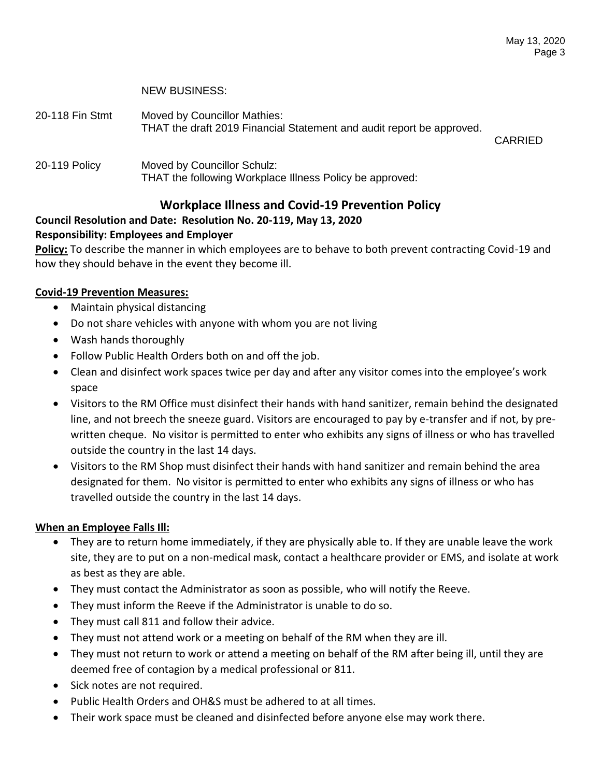### NEW BUSINESS:

- 20-118 Fin Stmt Moved by Councillor Mathies: THAT the draft 2019 Financial Statement and audit report be approved. CARRIED
- 20-119 Policy Moved by Councillor Schulz: THAT the following Workplace Illness Policy be approved:

# **Workplace Illness and Covid-19 Prevention Policy**

## **Council Resolution and Date: Resolution No. 20-119, May 13, 2020 Responsibility: Employees and Employer**

**Policy:** To describe the manner in which employees are to behave to both prevent contracting Covid-19 and how they should behave in the event they become ill.

## **Covid-19 Prevention Measures:**

- Maintain physical distancing
- Do not share vehicles with anyone with whom you are not living
- Wash hands thoroughly
- Follow Public Health Orders both on and off the job.
- Clean and disinfect work spaces twice per day and after any visitor comes into the employee's work space
- Visitors to the RM Office must disinfect their hands with hand sanitizer, remain behind the designated line, and not breech the sneeze guard. Visitors are encouraged to pay by e-transfer and if not, by prewritten cheque. No visitor is permitted to enter who exhibits any signs of illness or who has travelled outside the country in the last 14 days.
- Visitors to the RM Shop must disinfect their hands with hand sanitizer and remain behind the area designated for them. No visitor is permitted to enter who exhibits any signs of illness or who has travelled outside the country in the last 14 days.

## **When an Employee Falls Ill:**

- They are to return home immediately, if they are physically able to. If they are unable leave the work site, they are to put on a non-medical mask, contact a healthcare provider or EMS, and isolate at work as best as they are able.
- They must contact the Administrator as soon as possible, who will notify the Reeve.
- They must inform the Reeve if the Administrator is unable to do so.
- They must call 811 and follow their advice.
- They must not attend work or a meeting on behalf of the RM when they are ill.
- They must not return to work or attend a meeting on behalf of the RM after being ill, until they are deemed free of contagion by a medical professional or 811.
- Sick notes are not required.
- Public Health Orders and OH&S must be adhered to at all times.
- Their work space must be cleaned and disinfected before anyone else may work there.